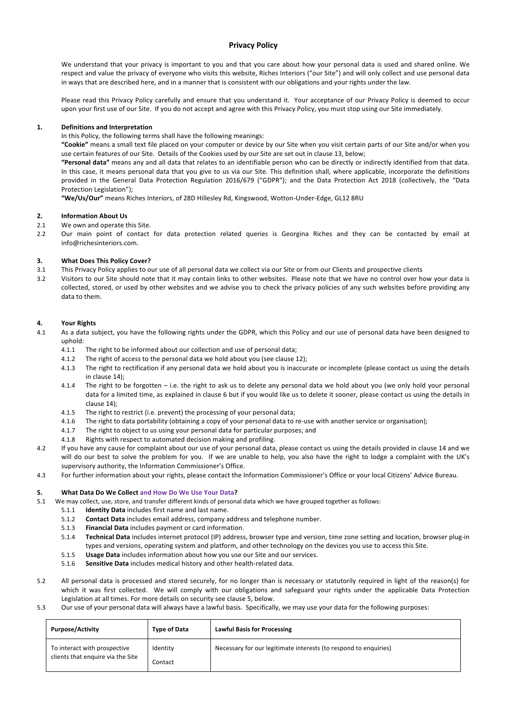## **Privacy Policy**

We understand that your privacy is important to you and that you care about how your personal data is used and shared online. We respect and value the privacy of everyone who visits this website, Riches Interiors ("our Site") and will only collect and use personal data in ways that are described here, and in a manner that is consistent with our obligations and your rights under the law.

Please read this Privacy Policy carefully and ensure that you understand it. Your acceptance of our Privacy Policy is deemed to occur upon your first use of our Site. If you do not accept and agree with this Privacy Policy, you must stop using our Site immediately.

#### **1. Definitions and Interpretation**

In this Policy, the following terms shall have the following meanings:

**"Cookie"** means a small text file placed on your computer or device by our Site when you visit certain parts of our Site and/or when you use certain features of our Site. Details of the Cookies used by our Site are set out in clause 13, below;

**"Personal data"** means any and all data that relates to an identifiable person who can be directly or indirectly identified from that data. In this case, it means personal data that you give to us via our Site. This definition shall, where applicable, incorporate the definitions provided in the General Data Protection Regulation 2016/679 ("GDPR"); and the Data Protection Act 2018 (collectively, the "Data Protection Legislation");

**"We/Us/Our"** means Riches Interiors, of 28D Hillesley Rd, Kingswood, Wotton-Under-Edge, GL12 8RU

### **2. Information About Us**

- 2.1 We own and operate this Site.
- 2.2 Our main point of contact for data protection related queries is Georgina Riches and they can be contacted by email at info@richesinteriors.com.

#### **3. What Does This Policy Cover?**

- 3.1 This Privacy Policy applies to our use of all personal data we collect via our Site or from our Clients and prospective clients
- 3.2 Visitors to our Site should note that it may contain links to other websites. Please note that we have no control over how your data is collected, stored, or used by other websites and we advise you to check the privacy policies of any such websites before providing any data to them.

#### **4. Your Rights**

- 4.1 As a data subject, you have the following rights under the GDPR, which this Policy and our use of personal data have been designed to uphold:
	- 4.1.1 The right to be informed about our collection and use of personal data;
	- 4.1.2 The right of access to the personal data we hold about you (see clause 12);
	- 4.1.3 The right to rectification if any personal data we hold about you is inaccurate or incomplete (please contact us using the details in clause 14);
	- 4.1.4 The right to be forgotten i.e. the right to ask us to delete any personal data we hold about you (we only hold your personal data for a limited time, as explained in clause 6 but if you would like us to delete it sooner, please contact us using the details in clause 14);
	- 4.1.5 The right to restrict (i.e. prevent) the processing of your personal data;
	- 4.1.6 The right to data portability (obtaining a copy of your personal data to re-use with another service or organisation);
	- 4.1.7 The right to object to us using your personal data for particular purposes; and
	- 4.1.8 Rights with respect to automated decision making and profiling.
- 4.2 If you have any cause for complaint about our use of your personal data, please contact us using the details provided in clause 14 and we will do our best to solve the problem for you. If we are unable to help, you also have the right to lodge a complaint with the UK's supervisory authority, the Information Commissioner's Office.
- 4.3 For further information about your rights, please contact the Information Commissioner's Office or your local Citizens' Advice Bureau.

#### **5. What Data Do We Collect and How Do We Use Your Data?**

- 5.1 We may collect, use, store, and transfer different kinds of personal data which we have grouped together as follows:
	- 5.1.1 **Identity Data** includes first name and last name.
	- 5.1.2 **Contact Data** includes email address, company address and telephone number.
	- 5.1.3 **Financial Data** includes payment or card information.
	- 5.1.4 **Technical Data** includes internet protocol (IP) address, browser type and version, time zone setting and location, browser plug-in types and versions, operating system and platform, and other technology on the devices you use to access this Site.
	- 5.1.5 **Usage Data** includes information about how you use our Site and our services.
	- 5.1.6 **Sensitive Data** includes medical history and other health-related data.
- 5.2 All personal data is processed and stored securely, for no longer than is necessary or statutorily required in light of the reason(s) for which it was first collected. We will comply with our obligations and safeguard your rights under the applicable Data Protection Legislation at all times. For more details on security see clause 5, below.
- 5.3 Our use of your personal data will always have a lawful basis. Specifically, we may use your data for the following purposes:

| <b>Purpose/Activity</b>                                           | <b>Type of Data</b> | <b>Lawful Basis for Processing</b>                               |
|-------------------------------------------------------------------|---------------------|------------------------------------------------------------------|
| To interact with prospective<br>clients that enquire via the Site | Identity<br>Contact | Necessary for our legitimate interests (to respond to enquiries) |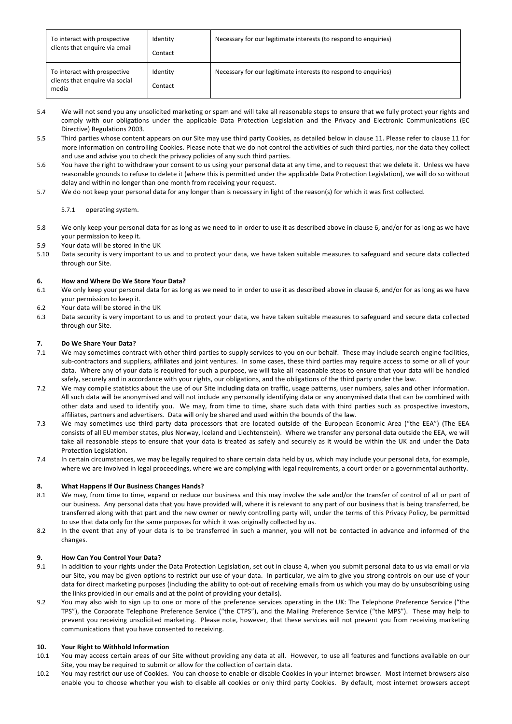| To interact with prospective<br>clients that enquire via email           | Identity<br>Contact | Necessary for our legitimate interests (to respond to enquiries) |
|--------------------------------------------------------------------------|---------------------|------------------------------------------------------------------|
| To interact with prospective<br>clients that enquire via social<br>media | Identity<br>Contact | Necessary for our legitimate interests (to respond to enquiries) |

- 5.4 We will not send you any unsolicited marketing or spam and will take all reasonable steps to ensure that we fully protect your rights and comply with our obligations under the applicable Data Protection Legislation and the Privacy and Electronic Communications (EC Directive) Regulations 2003.
- 5.5 Third parties whose content appears on our Site may use third party Cookies, as detailed below in clause 11. Please refer to clause 11 for more information on controlling Cookies. Please note that we do not control the activities of such third parties, nor the data they collect and use and advise you to check the privacy policies of any such third parties.
- 5.6 You have the right to withdraw your consent to us using your personal data at any time, and to request that we delete it. Unless we have reasonable grounds to refuse to delete it (where this is permitted under the applicable Data Protection Legislation), we will do so without delay and within no longer than one month from receiving your request.
- 5.7 We do not keep your personal data for any longer than is necessary in light of the reason(s) for which it was first collected.

### 5.7.1 operating system.

- 5.8 We only keep your personal data for as long as we need to in order to use it as described above in clause 6, and/or for as long as we have your permission to keep it.
- 5.9 Your data will be stored in the UK
- 5.10 Data security is very important to us and to protect your data, we have taken suitable measures to safeguard and secure data collected through our Site.

### **6. How and Where Do We Store Your Data?**

- 6.1 We only keep your personal data for as long as we need to in order to use it as described above in clause 6, and/or for as long as we have your permission to keep it.
- 6.2 Your data will be stored in the UK
- 6.3 Data security is very important to us and to protect your data, we have taken suitable measures to safeguard and secure data collected through our Site.

### **7. Do We Share Your Data?**

- 7.1 We may sometimes contract with other third parties to supply services to you on our behalf. These may include search engine facilities, sub-contractors and suppliers, affiliates and joint ventures. In some cases, these third parties may require access to some or all of your data. Where any of your data is required for such a purpose, we will take all reasonable steps to ensure that your data will be handled safely, securely and in accordance with your rights, our obligations, and the obligations of the third party under the law.
- 7.2 We may compile statistics about the use of our Site including data on traffic, usage patterns, user numbers, sales and other information. All such data will be anonymised and will not include any personally identifying data or any anonymised data that can be combined with other data and used to identify you. We may, from time to time, share such data with third parties such as prospective investors, affiliates, partners and advertisers. Data will only be shared and used within the bounds of the law.
- 7.3 We may sometimes use third party data processors that are located outside of the European Economic Area ("the EEA") (The EEA consists of all EU member states, plus Norway, Iceland and Liechtenstein). Where we transfer any personal data outside the EEA, we will take all reasonable steps to ensure that your data is treated as safely and securely as it would be within the UK and under the Data Protection Legislation.
- 7.4 In certain circumstances, we may be legally required to share certain data held by us, which may include your personal data, for example, where we are involved in legal proceedings, where we are complying with legal requirements, a court order or a governmental authority.

#### **8. What Happens If Our Business Changes Hands?**

- 8.1 We may, from time to time, expand or reduce our business and this may involve the sale and/or the transfer of control of all or part of our business. Any personal data that you have provided will, where it is relevant to any part of our business that is being transferred, be transferred along with that part and the new owner or newly controlling party will, under the terms of this Privacy Policy, be permitted to use that data only for the same purposes for which it was originally collected by us.
- 8.2 In the event that any of your data is to be transferred in such a manner, you will not be contacted in advance and informed of the changes.

#### **9. How Can You Control Your Data?**

- 9.1 In addition to your rights under the Data Protection Legislation, set out in clause 4, when you submit personal data to us via email or via our Site, you may be given options to restrict our use of your data. In particular, we aim to give you strong controls on our use of your data for direct marketing purposes (including the ability to opt-out of receiving emails from us which you may do by unsubscribing using the links provided in our emails and at the point of providing your details).
- 9.2 You may also wish to sign up to one or more of the preference services operating in the UK: The Telephone Preference Service ("the TPS"), the Corporate Telephone Preference Service ("the CTPS"), and the Mailing Preference Service ("the MPS"). These may help to prevent you receiving unsolicited marketing. Please note, however, that these services will not prevent you from receiving marketing communications that you have consented to receiving.

# **10. Your Right to Withhold Information**

- 10.1 You may access certain areas of our Site without providing any data at all. However, to use all features and functions available on our Site, you may be required to submit or allow for the collection of certain data.
- 10.2 You may restrict our use of Cookies. You can choose to enable or disable Cookies in your internet browser. Most internet browsers also enable you to choose whether you wish to disable all cookies or only third party Cookies. By default, most internet browsers accept